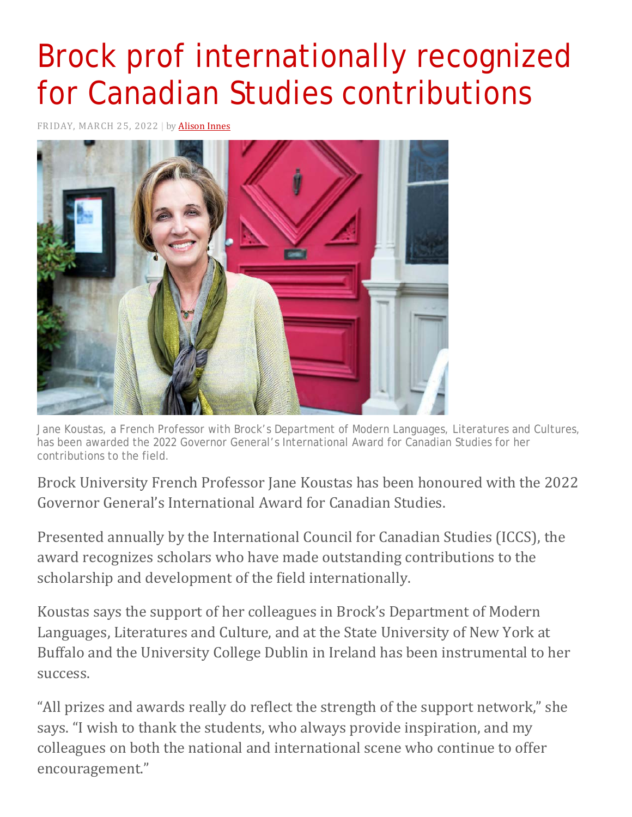## Brock prof internationally recognized for Canadian Studies contributions

FRIDAY, MARCH 25, 2022 | by [Alison](https://brocku.ca/brock-news/author/ainnes/) Innes



Jane Koustas, a French Professor with Brock's Department of Modern Languages, Literatures and Cultures, has been awarded the 2022 Governor General's International Award for Canadian Studies for her contributions to the field.

Brock University French Professor Jane Koustas has been honoured with the 2022 Governor General's International Award for Canadian Studies.

Presented annually by the International Council for Canadian Studies (ICCS), the award recognizes scholars who have made outstanding contributions to the scholarship and development of the field internationally.

Koustas says the support of her colleagues in Brock's Department of Modern Languages, Literatures and Culture, and at the State University of New York at Buffalo and the University College Dublin in Ireland has been instrumental to her success.

"All prizes and awards really do reflect the strength of the support network," she says. "I wish to thank the students, who always provide inspiration, and my colleagues on both the national and international scene who continue to offer encouragement."